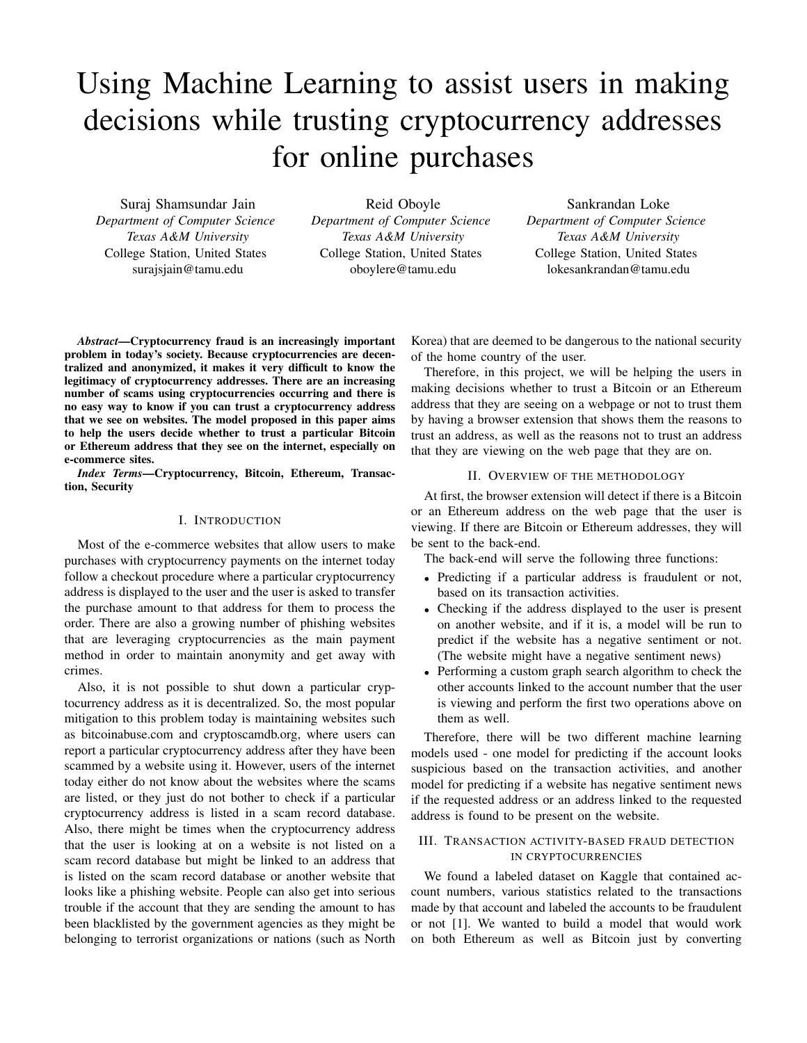# Using Machine Learning to assist users in making decisions while trusting cryptocurrency addresses for online purchases

Suraj Shamsundar Jain *Department of Computer Science Texas A&M University* College Station, United States surajsjain@tamu.edu

Reid Oboyle *Department of Computer Science Texas A&M University* College Station, United States oboylere@tamu.edu

Sankrandan Loke *Department of Computer Science Texas A&M University* College Station, United States lokesankrandan@tamu.edu

*Abstract*—Cryptocurrency fraud is an increasingly important problem in today's society. Because cryptocurrencies are decentralized and anonymized, it makes it very difficult to know the legitimacy of cryptocurrency addresses. There are an increasing number of scams using cryptocurrencies occurring and there is no easy way to know if you can trust a cryptocurrency address that we see on websites. The model proposed in this paper aims to help the users decide whether to trust a particular Bitcoin or Ethereum address that they see on the internet, especially on e-commerce sites.

*Index Terms*—Cryptocurrency, Bitcoin, Ethereum, Transaction, Security

## I. INTRODUCTION

Most of the e-commerce websites that allow users to make purchases with cryptocurrency payments on the internet today follow a checkout procedure where a particular cryptocurrency address is displayed to the user and the user is asked to transfer the purchase amount to that address for them to process the order. There are also a growing number of phishing websites that are leveraging cryptocurrencies as the main payment method in order to maintain anonymity and get away with crimes.

Also, it is not possible to shut down a particular cryptocurrency address as it is decentralized. So, the most popular mitigation to this problem today is maintaining websites such as bitcoinabuse.com and cryptoscamdb.org, where users can report a particular cryptocurrency address after they have been scammed by a website using it. However, users of the internet today either do not know about the websites where the scams are listed, or they just do not bother to check if a particular cryptocurrency address is listed in a scam record database. Also, there might be times when the cryptocurrency address that the user is looking at on a website is not listed on a scam record database but might be linked to an address that is listed on the scam record database or another website that looks like a phishing website. People can also get into serious trouble if the account that they are sending the amount to has been blacklisted by the government agencies as they might be belonging to terrorist organizations or nations (such as North

Korea) that are deemed to be dangerous to the national security of the home country of the user.

Therefore, in this project, we will be helping the users in making decisions whether to trust a Bitcoin or an Ethereum address that they are seeing on a webpage or not to trust them by having a browser extension that shows them the reasons to trust an address, as well as the reasons not to trust an address that they are viewing on the web page that they are on.

#### II. OVERVIEW OF THE METHODOLOGY

At first, the browser extension will detect if there is a Bitcoin or an Ethereum address on the web page that the user is viewing. If there are Bitcoin or Ethereum addresses, they will be sent to the back-end.

The back-end will serve the following three functions:

- Predicting if a particular address is fraudulent or not, based on its transaction activities.
- Checking if the address displayed to the user is present on another website, and if it is, a model will be run to predict if the website has a negative sentiment or not. (The website might have a negative sentiment news)
- Performing a custom graph search algorithm to check the other accounts linked to the account number that the user is viewing and perform the first two operations above on them as well.

Therefore, there will be two different machine learning models used - one model for predicting if the account looks suspicious based on the transaction activities, and another model for predicting if a website has negative sentiment news if the requested address or an address linked to the requested address is found to be present on the website.

## III. TRANSACTION ACTIVITY-BASED FRAUD DETECTION IN CRYPTOCURRENCIES

We found a labeled dataset on Kaggle that contained account numbers, various statistics related to the transactions made by that account and labeled the accounts to be fraudulent or not [1]. We wanted to build a model that would work on both Ethereum as well as Bitcoin just by converting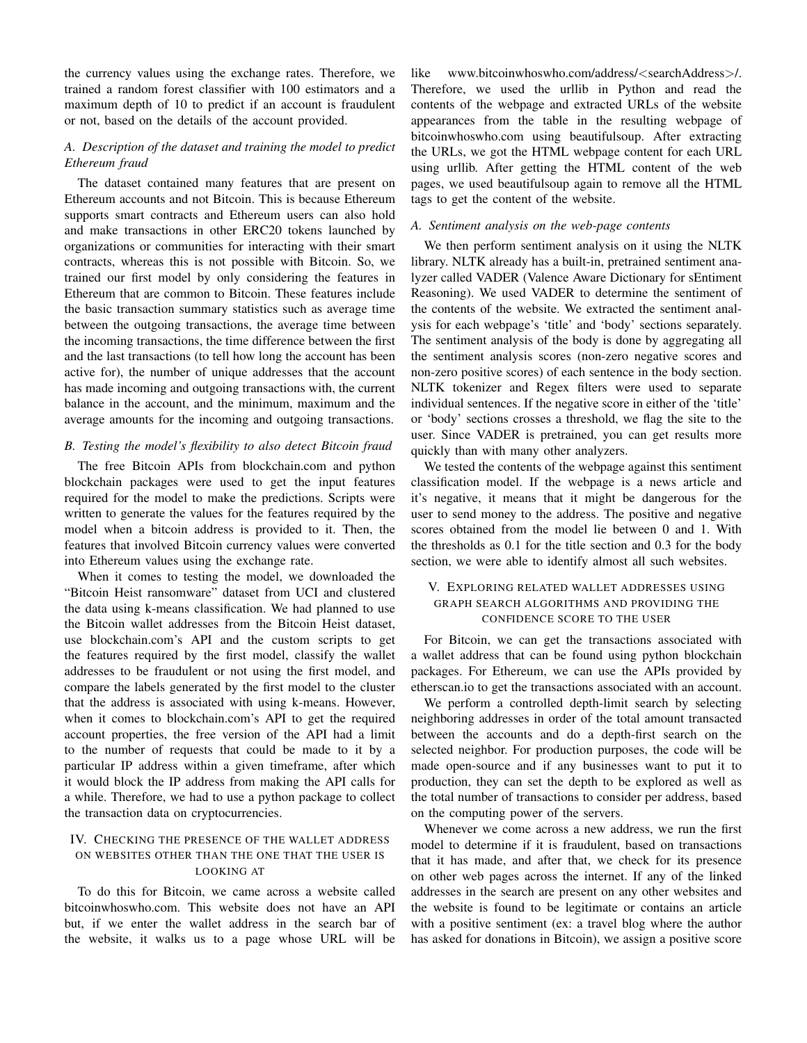the currency values using the exchange rates. Therefore, we trained a random forest classifier with 100 estimators and a maximum depth of 10 to predict if an account is fraudulent or not, based on the details of the account provided.

# *A. Description of the dataset and training the model to predict Ethereum fraud*

The dataset contained many features that are present on Ethereum accounts and not Bitcoin. This is because Ethereum supports smart contracts and Ethereum users can also hold and make transactions in other ERC20 tokens launched by organizations or communities for interacting with their smart contracts, whereas this is not possible with Bitcoin. So, we trained our first model by only considering the features in Ethereum that are common to Bitcoin. These features include the basic transaction summary statistics such as average time between the outgoing transactions, the average time between the incoming transactions, the time difference between the first and the last transactions (to tell how long the account has been active for), the number of unique addresses that the account has made incoming and outgoing transactions with, the current balance in the account, and the minimum, maximum and the average amounts for the incoming and outgoing transactions.

## *B. Testing the model's flexibility to also detect Bitcoin fraud*

The free Bitcoin APIs from blockchain.com and python blockchain packages were used to get the input features required for the model to make the predictions. Scripts were written to generate the values for the features required by the model when a bitcoin address is provided to it. Then, the features that involved Bitcoin currency values were converted into Ethereum values using the exchange rate.

When it comes to testing the model, we downloaded the "Bitcoin Heist ransomware" dataset from UCI and clustered the data using k-means classification. We had planned to use the Bitcoin wallet addresses from the Bitcoin Heist dataset, use blockchain.com's API and the custom scripts to get the features required by the first model, classify the wallet addresses to be fraudulent or not using the first model, and compare the labels generated by the first model to the cluster that the address is associated with using k-means. However, when it comes to blockchain.com's API to get the required account properties, the free version of the API had a limit to the number of requests that could be made to it by a particular IP address within a given timeframe, after which it would block the IP address from making the API calls for a while. Therefore, we had to use a python package to collect the transaction data on cryptocurrencies.

## IV. CHECKING THE PRESENCE OF THE WALLET ADDRESS ON WEBSITES OTHER THAN THE ONE THAT THE USER IS LOOKING AT

To do this for Bitcoin, we came across a website called bitcoinwhoswho.com. This website does not have an API but, if we enter the wallet address in the search bar of the website, it walks us to a page whose URL will be like www.bitcoinwhoswho.com/address/<searchAddress>/. Therefore, we used the urllib in Python and read the contents of the webpage and extracted URLs of the website appearances from the table in the resulting webpage of bitcoinwhoswho.com using beautifulsoup. After extracting the URLs, we got the HTML webpage content for each URL using urllib. After getting the HTML content of the web pages, we used beautifulsoup again to remove all the HTML tags to get the content of the website.

## *A. Sentiment analysis on the web-page contents*

We then perform sentiment analysis on it using the NLTK library. NLTK already has a built-in, pretrained sentiment analyzer called VADER (Valence Aware Dictionary for sEntiment Reasoning). We used VADER to determine the sentiment of the contents of the website. We extracted the sentiment analysis for each webpage's 'title' and 'body' sections separately. The sentiment analysis of the body is done by aggregating all the sentiment analysis scores (non-zero negative scores and non-zero positive scores) of each sentence in the body section. NLTK tokenizer and Regex filters were used to separate individual sentences. If the negative score in either of the 'title' or 'body' sections crosses a threshold, we flag the site to the user. Since VADER is pretrained, you can get results more quickly than with many other analyzers.

We tested the contents of the webpage against this sentiment classification model. If the webpage is a news article and it's negative, it means that it might be dangerous for the user to send money to the address. The positive and negative scores obtained from the model lie between 0 and 1. With the thresholds as 0.1 for the title section and 0.3 for the body section, we were able to identify almost all such websites.

## V. EXPLORING RELATED WALLET ADDRESSES USING GRAPH SEARCH ALGORITHMS AND PROVIDING THE CONFIDENCE SCORE TO THE USER

For Bitcoin, we can get the transactions associated with a wallet address that can be found using python blockchain packages. For Ethereum, we can use the APIs provided by etherscan.io to get the transactions associated with an account.

We perform a controlled depth-limit search by selecting neighboring addresses in order of the total amount transacted between the accounts and do a depth-first search on the selected neighbor. For production purposes, the code will be made open-source and if any businesses want to put it to production, they can set the depth to be explored as well as the total number of transactions to consider per address, based on the computing power of the servers.

Whenever we come across a new address, we run the first model to determine if it is fraudulent, based on transactions that it has made, and after that, we check for its presence on other web pages across the internet. If any of the linked addresses in the search are present on any other websites and the website is found to be legitimate or contains an article with a positive sentiment (ex: a travel blog where the author has asked for donations in Bitcoin), we assign a positive score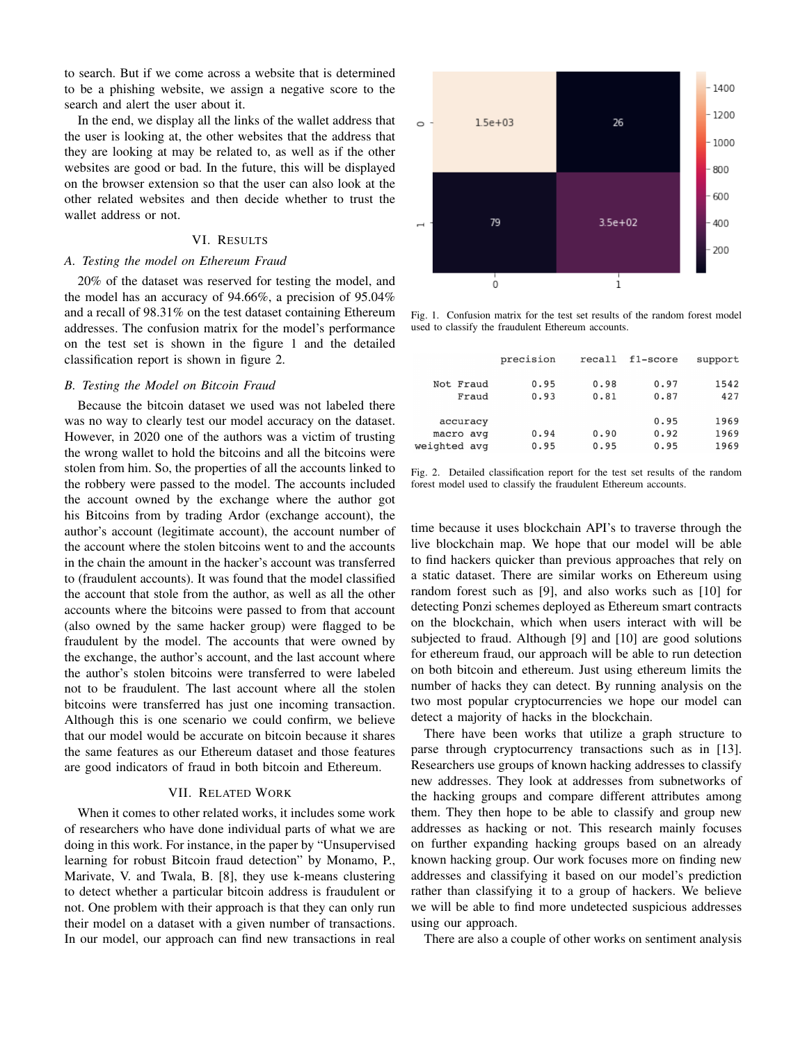to search. But if we come across a website that is determined to be a phishing website, we assign a negative score to the search and alert the user about it.

In the end, we display all the links of the wallet address that the user is looking at, the other websites that the address that they are looking at may be related to, as well as if the other websites are good or bad. In the future, this will be displayed on the browser extension so that the user can also look at the other related websites and then decide whether to trust the wallet address or not.

## VI. RESULTS

## *A. Testing the model on Ethereum Fraud*

20% of the dataset was reserved for testing the model, and the model has an accuracy of 94.66%, a precision of 95.04% and a recall of 98.31% on the test dataset containing Ethereum addresses. The confusion matrix for the model's performance on the test set is shown in the figure 1 and the detailed classification report is shown in figure 2.

#### *B. Testing the Model on Bitcoin Fraud*

Because the bitcoin dataset we used was not labeled there was no way to clearly test our model accuracy on the dataset. However, in 2020 one of the authors was a victim of trusting the wrong wallet to hold the bitcoins and all the bitcoins were stolen from him. So, the properties of all the accounts linked to the robbery were passed to the model. The accounts included the account owned by the exchange where the author got his Bitcoins from by trading Ardor (exchange account), the author's account (legitimate account), the account number of the account where the stolen bitcoins went to and the accounts in the chain the amount in the hacker's account was transferred to (fraudulent accounts). It was found that the model classified the account that stole from the author, as well as all the other accounts where the bitcoins were passed to from that account (also owned by the same hacker group) were flagged to be fraudulent by the model. The accounts that were owned by the exchange, the author's account, and the last account where the author's stolen bitcoins were transferred to were labeled not to be fraudulent. The last account where all the stolen bitcoins were transferred has just one incoming transaction. Although this is one scenario we could confirm, we believe that our model would be accurate on bitcoin because it shares the same features as our Ethereum dataset and those features are good indicators of fraud in both bitcoin and Ethereum.

## VII. RELATED WORK

When it comes to other related works, it includes some work of researchers who have done individual parts of what we are doing in this work. For instance, in the paper by "Unsupervised learning for robust Bitcoin fraud detection" by Monamo, P., Marivate, V. and Twala, B. [8], they use k-means clustering to detect whether a particular bitcoin address is fraudulent or not. One problem with their approach is that they can only run their model on a dataset with a given number of transactions. In our model, our approach can find new transactions in real



Fig. 1. Confusion matrix for the test set results of the random forest model used to classify the fraudulent Ethereum accounts.

| support |
|---------|
| 1542    |
| 427     |
| 1969    |
| 1969    |
| 1969    |
|         |

Fig. 2. Detailed classification report for the test set results of the random forest model used to classify the fraudulent Ethereum accounts.

time because it uses blockchain API's to traverse through the live blockchain map. We hope that our model will be able to find hackers quicker than previous approaches that rely on a static dataset. There are similar works on Ethereum using random forest such as [9], and also works such as [10] for detecting Ponzi schemes deployed as Ethereum smart contracts on the blockchain, which when users interact with will be subjected to fraud. Although [9] and [10] are good solutions for ethereum fraud, our approach will be able to run detection on both bitcoin and ethereum. Just using ethereum limits the number of hacks they can detect. By running analysis on the two most popular cryptocurrencies we hope our model can detect a majority of hacks in the blockchain.

There have been works that utilize a graph structure to parse through cryptocurrency transactions such as in [13]. Researchers use groups of known hacking addresses to classify new addresses. They look at addresses from subnetworks of the hacking groups and compare different attributes among them. They then hope to be able to classify and group new addresses as hacking or not. This research mainly focuses on further expanding hacking groups based on an already known hacking group. Our work focuses more on finding new addresses and classifying it based on our model's prediction rather than classifying it to a group of hackers. We believe we will be able to find more undetected suspicious addresses using our approach.

There are also a couple of other works on sentiment analysis